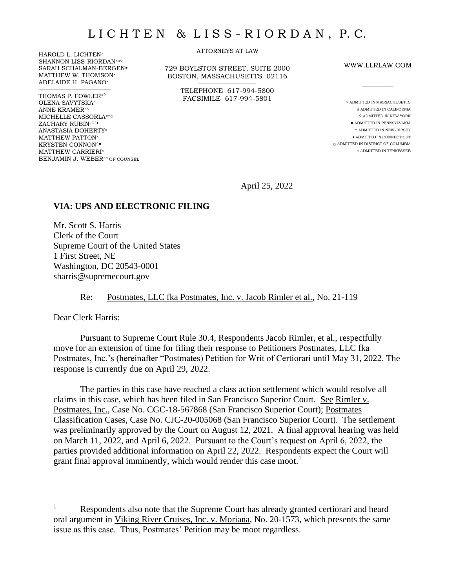HAROLD L. LICHTEN<sup>×</sup> SHANNON LISS-RIORDAN<sup>×∆</sup> SARAH SCHALMAN-BERGEN MATTHEW W. THOMSON<sup>×</sup> ADELAIDE H. PAGANO<sup>×</sup>

 $\mathcal{L}_\text{max}$  and  $\mathcal{L}_\text{max}$  and  $\mathcal{L}_\text{max}$  and  $\mathcal{L}_\text{max}$ 

THOMAS P. FOWLER× OLENA SAVYTSKA<sup>×</sup> ANNE KRAMER×∆ MICHELLE CASSORLA×^☼ ZACHARY RUBIN $^{\times \Diamond \star\bullet}$ ANASTASIA DOHERTY<sup>×</sup> MATTHEW PATTON<sup>×</sup> KRYSTEN CONNON^ MATTHEW CARRIERI<sup>×</sup> BENJAMIN J. WEBER<sup>×□</sup> OF COUNSEL ATTORNEYS AT LAW

729 BOYLSTON STREET, SUITE 2000 BOSTON, MASSACHUSETTS 02116 \_\_\_\_\_\_\_\_\_\_\_\_\_\_\_\_\_\_\_\_\_\_\_\_\_\_\_\_\_\_\_

> TELEPHONE 617-994-5800 FACSIMILE 617-994-5801

WWW.LLRLAW.COM

 $\overline{\phantom{a}}$ 

× ADMITTED IN MASSACHUSETTS ∆ ADMITTED IN CALIFORNIA  $\diamond$  ADMITTED IN NEW YORK  $\bullet$  ADMITTED IN PENNSYLVANIA ^ ADMITTED IN NEW JERSEY ♦ ADMITTED IN CONNECTICUT ☼ ADMITTED IN DISTRICT OF COLUMBIA □ ADMITTED IN TENNESSEE

April 25, 2022

## **VIA: UPS AND ELECTRONIC FILING**

Mr. Scott S. Harris Clerk of the Court Supreme Court of the United States 1 First Street, NE Washington, DC 20543-0001 sharris@supremecourt.gov

Re: Postmates, LLC fka Postmates, Inc. v. Jacob Rimler et al., No. 21-119

Dear Clerk Harris:

Pursuant to Supreme Court Rule 30.4, Respondents Jacob Rimler, et al., respectfully move for an extension of time for filing their response to Petitioners Postmates, LLC fka Postmates, Inc.'s (hereinafter "Postmates) Petition for Writ of Certiorari until May 31, 2022. The response is currently due on April 29, 2022.

The parties in this case have reached a class action settlement which would resolve all claims in this case, which has been filed in San Francisco Superior Court. See Rimler v. Postmates, Inc., Case No. CGC-18-567868 (San Francisco Superior Court); Postmates Classification Cases, Case No. CJC-20-005068 (San Francisco Superior Court). The settlement was preliminarily approved by the Court on August 12, 2021. A final approval hearing was held on March 11, 2022, and April 6, 2022. Pursuant to the Court's request on April 6, 2022, the parties provided additional information on April 22, 2022. Respondents expect the Court will grant final approval imminently, which would render this case moot. 1

<sup>&</sup>lt;sup>1</sup> Respondents also note that the Supreme Court has already granted certiorari and heard oral argument in Viking River Cruises, Inc. v. Moriana, No. 20-1573, which presents the same issue as this case. Thus, Postmates' Petition may be moot regardless.